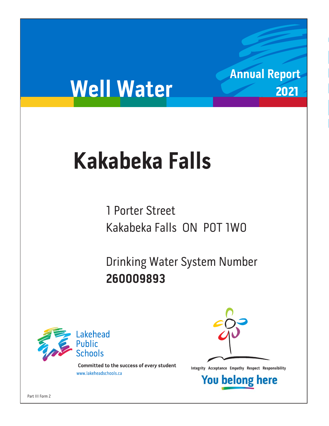# **Well Water**

## **Kakabeka Falls Kakabeka Falls**

1 Porter Street Kakabeka Falls ON POT 1WO Kakabeka Falls ON P0T 1W0

Drinking Water System Number<br>260009893 **260009893**



**Integrity Acceptance Empathy Respect Responsibility integrity Acceptance Empathy Respect Responsibility Example 1** 



**Annual Report**

2021

**You belong here**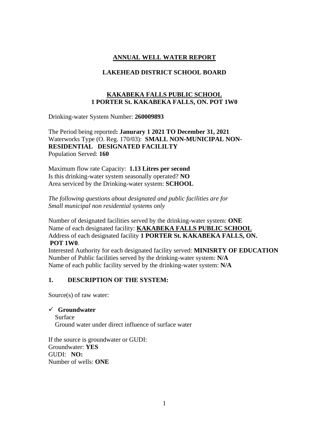### **ANNUAL WELL WATER REPORT**

#### **LAKEHEAD DISTRICT SCHOOL BOARD**

#### **KAKABEKA FALLS PUBLIC SCHOOL 1 PORTER St. KAKABEKA FALLS, ON. POT 1W0**

Drinking-water System Number: **260009893**

The Period being reported**: Janurary 1 2021 TO December 31, 2021** Waterworks Type (O. Reg. 170/03): **SMALL NON-MUNICIPAL NON-RESIDENTIAL DESIGNATED FACILILTY**  Population Served: **160**

Maximum flow rate Capacity: **1.13 Litres per second** Is this drinking-water system seasonally operated? **NO** Area serviced by the Drinking-water system: **SCHOOL**

*The following questions about designated and public facilities are for Small municipal non residential systems only* 

Number of designated facilities served by the drinking-water system: **ONE** Name of each designated facility: **KAKABEKA FALLS PUBLIC SCHOOL** Address of each designated facility **1 PORTER St. KAKABEKA FALLS, ON. POT 1W0**.

Interested Authority for each designated facility served: **MINISRTY OF EDUCATION** Number of Public facilities served by the drinking-water system: **N/A** Name of each public facility served by the drinking-water system: **N/A**

#### **1. DESCRIPTION OF THE SYSTEM:**

Source(s) of raw water:

✓ **Groundwater**  Surface Ground water under direct influence of surface water

If the source is groundwater or GUDI: Groundwater: **YES** GUDI: **NO:** Number of wells: **ONE**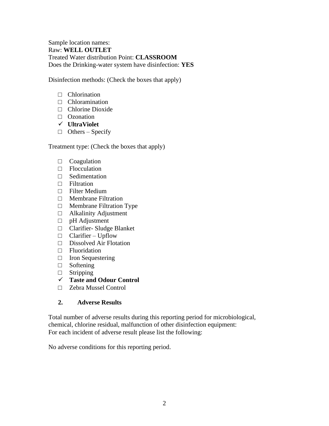#### Sample location names: Raw: **WELL OUTLET**  Treated Water distribution Point: **CLASSROOM** Does the Drinking-water system have disinfection: **YES**

Disinfection methods: (Check the boxes that apply)

- □ Chlorination
- □ Chloramination
- □ Chlorine Dioxide
- □ Ozonation
- ✓ **UltraViolet**
- $\Box$  Others Specify

Treatment type: (Check the boxes that apply)

- □ Coagulation
- □ Flocculation
- $\Box$  Sedimentation
- □ Filtration
- □ Filter Medium
- □ Membrane Filtration
- □ Membrane Filtration Type
- □ Alkalinity Adjustment
- □ pH Adjustment
- □ Clarifier- Sludge Blanket
- $\Box$  Clarifier Upflow
- □ Dissolved Air Flotation
- □ Fluoridation
- □ Iron Sequestering
- □ Softening
- □ Stripping
- ✓ **Taste and Odour Control**
- □ Zebra Mussel Control

#### **2. Adverse Results**

Total number of adverse results during this reporting period for microbiological, chemical, chlorine residual, malfunction of other disinfection equipment: For each incident of adverse result please list the following:

No adverse conditions for this reporting period.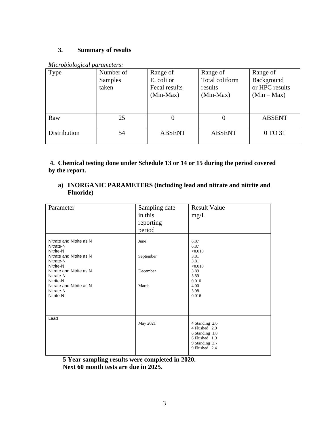#### **3. Summary of results**

|  | Microbiological parameters: |
|--|-----------------------------|
|  |                             |

| Type         | Number of<br>Samples<br>taken | Range of<br>E. coli or<br>Fecal results<br>$(Min-Max)$ | Range of<br>Total coliform<br>results<br>$(Min-Max)$ | Range of<br>Background<br>or HPC results<br>$(Min-Max)$ |
|--------------|-------------------------------|--------------------------------------------------------|------------------------------------------------------|---------------------------------------------------------|
| Raw          | 25                            |                                                        |                                                      | <b>ABSENT</b>                                           |
| Distribution | 54                            | <b>ABSENT</b>                                          | <b>ABSENT</b>                                        | 0 TO 31                                                 |

**4. Chemical testing done under Schedule 13 or 14 or 15 during the period covered by the report.**

**a) INORGANIC PARAMETERS (including lead and nitrate and nitrite and Fluoride)** 

| Parameter                                                                                                                                                                                                            | Sampling date<br>in this<br>reporting<br>period | <b>Result Value</b><br>mg/L                                                                           |
|----------------------------------------------------------------------------------------------------------------------------------------------------------------------------------------------------------------------|-------------------------------------------------|-------------------------------------------------------------------------------------------------------|
| Nitrate and Nitrite as N<br>Nitrate-N<br>Nitrite-N<br>Nitrate and Nitrite as N<br>Nitrate-N<br>Nitrite-N<br>Nitrate and Nitrite as N<br>Nitrate-N<br>Nitrite-N<br>Nitrate and Nitrite as N<br>Nitrate-N<br>Nitrite-N | June<br>September<br>December<br>March          | 6.87<br>6.87<br>< 0.010<br>3.81<br>3.81<br><0.010<br>3.89<br>3.89<br>0.010<br>4.00<br>3.98<br>0.016   |
| Lead                                                                                                                                                                                                                 | May 2021                                        | 4 Standing 2.6<br>4 Flushed 2.0<br>6 Standing 1.8<br>6 Flushed 1.9<br>9 Standing 3.7<br>9 Flushed 2.4 |

**5 Year sampling results were completed in 2020. Next 60 month tests are due in 2025.**